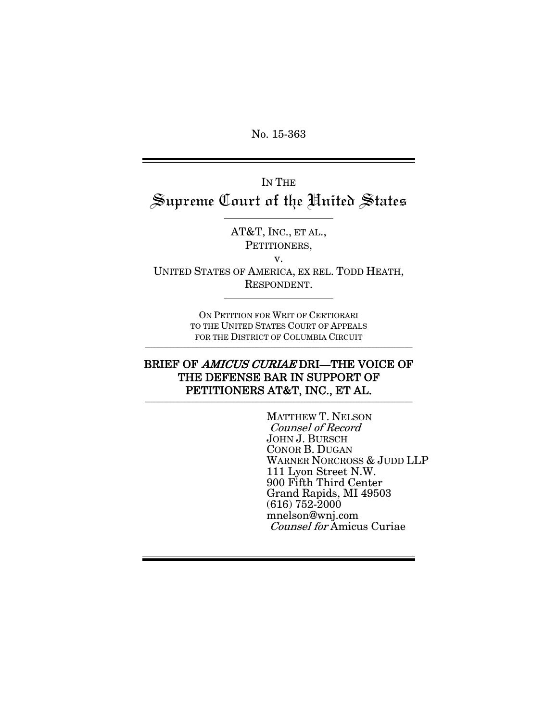No. 15-363

# IN THE Supreme Court of the United States

AT&T, INC., ET AL., PETITIONERS, v. UNITED STATES OF AMERICA, EX REL. TODD HEATH, RESPONDENT.

> ON PETITION FOR WRIT OF CERTIORARI TO THE UNITED STATES COURT OF APPEALS FOR THE DISTRICT OF COLUMBIA CIRCUIT

\_\_\_\_\_\_\_\_\_\_\_\_\_\_\_\_\_\_\_\_\_\_\_\_\_\_\_\_\_\_\_\_\_\_\_\_\_\_\_\_\_\_\_\_\_\_\_\_\_\_\_\_\_\_\_\_\_\_\_\_\_\_\_\_\_\_\_\_\_\_\_\_\_\_\_\_\_\_\_\_\_\_\_\_\_\_\_\_\_\_\_\_\_\_\_\_\_\_

### BRIEF OF AMICUS CURIAE DRI-THE VOICE OF THE DEFENSE BAR IN SUPPORT OF PETITIONERS AT&T, INC., ET AL.

MATTHEW T. NELSON Counsel of Record JOHN J. BURSCH CONOR B. DUGAN WARNER NORCROSS & JUDD LLP 111 Lyon Street N.W. 900 Fifth Third Center Grand Rapids, MI 49503 (616) 752-2000 mnelson@wnj.com Counsel for Amicus Curiae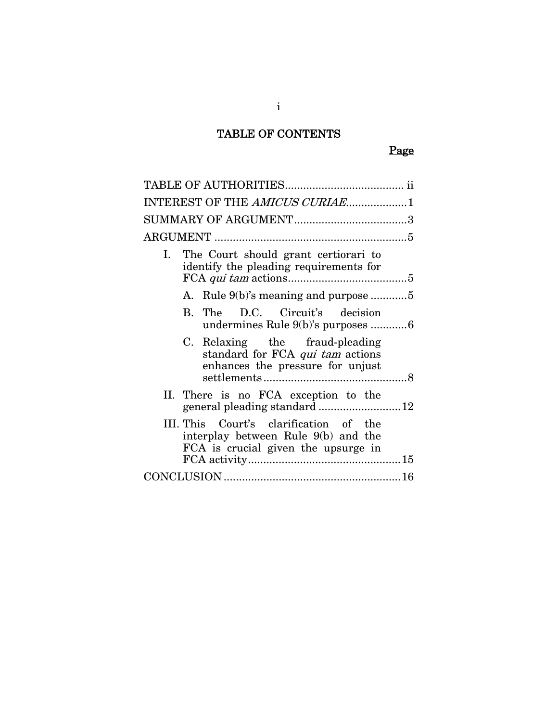# TABLE OF CONTENTS

### Page

| INTEREST OF THE AMICUS CURIAE1                                                                                       |
|----------------------------------------------------------------------------------------------------------------------|
|                                                                                                                      |
|                                                                                                                      |
| The Court should grant certiorari to<br>L.<br>identify the pleading requirements for                                 |
| A. Rule 9(b)'s meaning and purpose 5                                                                                 |
| D.C. Circuit's decision<br>B. The<br>undermines Rule 9(b)'s purposes 6                                               |
| C. Relaxing the fraud-pleading<br>standard for FCA qui tam actions<br>enhances the pressure for unjust               |
| II. There is no FCA exception to the<br>general pleading standard 12                                                 |
| III. This Court's clarification of the<br>interplay between Rule 9(b) and the<br>FCA is crucial given the upsurge in |
|                                                                                                                      |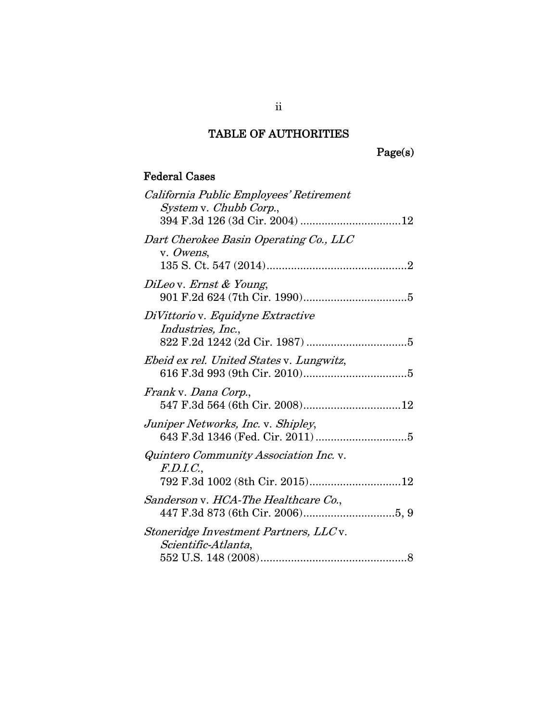# TABLE OF AUTHORITIES

Page(s)

### Federal Cases

| California Public Employees' Retirement<br>System v. Chubb Corp.,     |
|-----------------------------------------------------------------------|
| Dart Cherokee Basin Operating Co., LLC<br>v. Owens,                   |
| DiLeo v. Ernst & Young,                                               |
| DiVittorio v. Equidyne Extractive<br>Industries, Inc.,                |
| Ebeid ex rel. United States v. Lungwitz,                              |
| <i>Frank</i> v. <i>Dana Corp.</i> ,<br>547 F.3d 564 (6th Cir. 2008)12 |
| Juniper Networks, Inc. v. Shipley,                                    |
| Quintero Community Association Inc. v.<br>F.D.I.C.,                   |
| Sanderson v. HCA-The Healthcare Co.,                                  |
| Stoneridge Investment Partners, LLC v.<br>Scientific-Atlanta,         |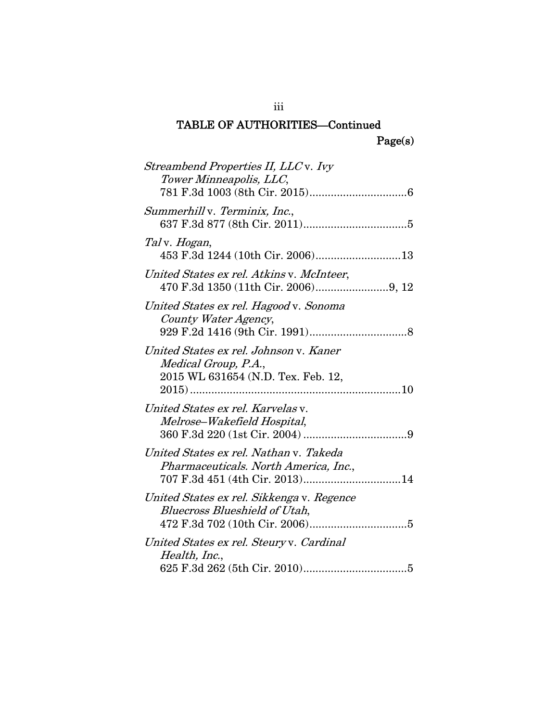# TABLE OF AUTHORITIES–Continued Page(s)

| Streambend Properties II, LLC v. Ivy<br>Tower Minneapolis, LLC,                                                   |
|-------------------------------------------------------------------------------------------------------------------|
| Summerhill v. Terminix, Inc.,                                                                                     |
| <i>Tal</i> v. <i>Hogan</i> ,<br>453 F.3d 1244 (10th Cir. 2006)13                                                  |
| United States ex rel. Atkins v. McInteer,                                                                         |
| United States ex rel. Hagood v. Sonoma<br>County Water Agency,                                                    |
| United States ex rel. Johnson v. Kaner<br>Medical Group, P.A.,<br>2015 WL 631654 (N.D. Tex. Feb. 12,              |
| United States ex rel. Karvelas v.<br>Melrose-Wakefield Hospital,                                                  |
| United States ex rel. Nathan v. Takeda<br>Pharmaceuticals. North America, Inc.,<br>707 F.3d 451 (4th Cir. 2013)14 |
| United States ex rel. Sikkenga v. Regence<br><b>Bluecross Blueshield of Utah,</b>                                 |
| United States ex rel. Steury v. Cardinal<br>Health, Inc.,                                                         |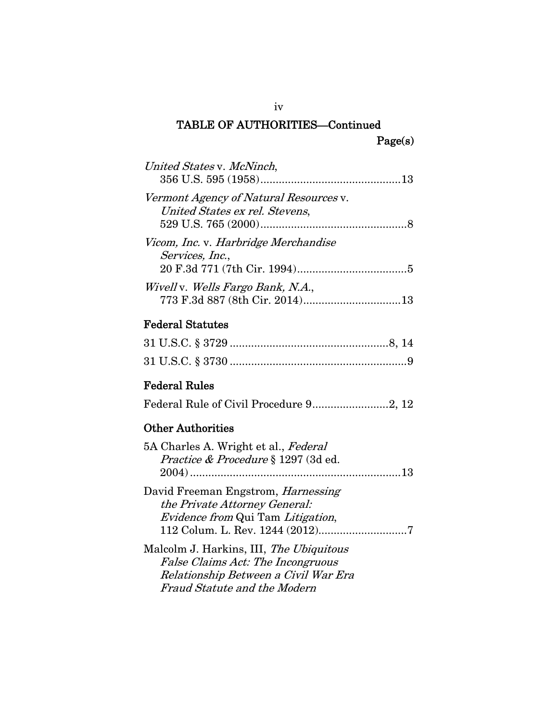## TABLE OF AUTHORITIES–Continued Page(s)

| United States v. McNinch,                                                       |
|---------------------------------------------------------------------------------|
| <i>Vermont Agency of Natural Resources</i> v.<br>United States ex rel. Stevens, |
| Vicom, Inc. v. Harbridge Merchandise<br>Services, Inc.,                         |
| Wivell v. Wells Fargo Bank, N.A.,                                               |

### Federal Statutes

## Federal Rules

|--|--|

## Other Authorities

| 5A Charles A. Wright et al., Federal             |  |
|--------------------------------------------------|--|
| <i>Practice &amp; Procedure</i> § 1297 (3d ed.   |  |
|                                                  |  |
| David Freeman Engstrom, <i>Harnessing</i>        |  |
| the Private Attorney General:                    |  |
| <i>Evidence from</i> Qui Tam <i>Litigation</i> , |  |
|                                                  |  |
| Malcolm J. Harkins, III, <i>The Ubiquitous</i>   |  |
| <b>False Claims Act: The Incongruous</b>         |  |
| Relationship Between a Civil War Era             |  |
| <b>Fraud Statute and the Modern</b>              |  |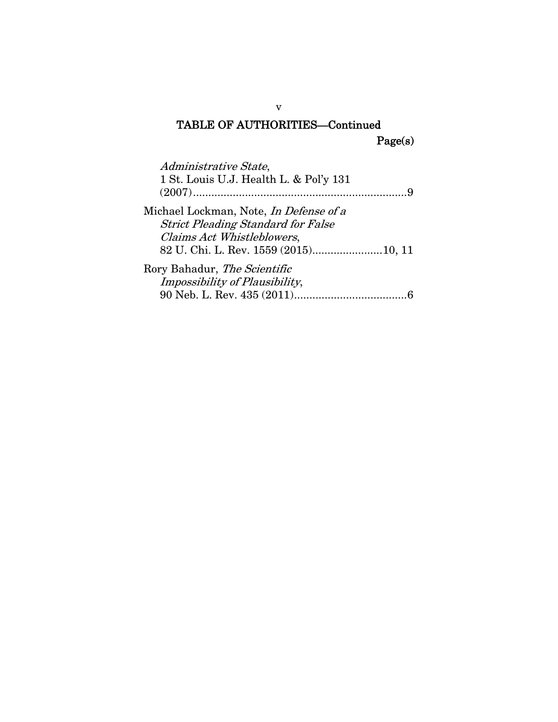### TABLE OF AUTHORITIES–Continued Page(s)

Administrative State, 1 St. Louis U.J. Health L. & Pol'y 131 (2007) ...................................................................... 9 Michael Lockman, Note, In Defense of a Strict Pleading Standard for False Claims Act Whistleblowers, 82 U. Chi. L. Rev. 1559 (2015) ....................... 10, 11 Rory Bahadur, The Scientific Impossibility of Plausibility, 90 Neb. L. Rev. 435 (2011) ..................................... 6

v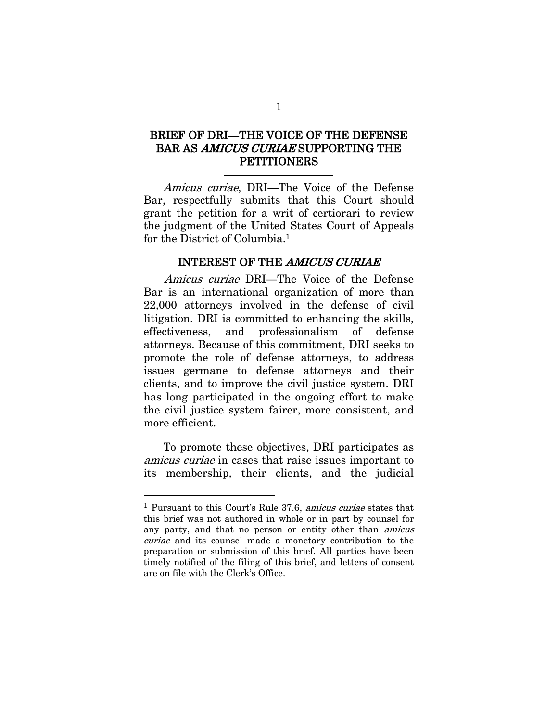### BRIEF OF DRI–THE VOICE OF THE DEFENSE BAR AS AMICUS CURIAE SUPPORTING THE **PETITIONERS**

Amicus curiae, DRI-The Voice of the Defense Bar, respectfully submits that this Court should grant the petition for a writ of certiorari to review the judgment of the United States Court of Appeals for the District of Columbia.1

### INTEREST OF THE AMICUS CURIAE

Amicus curiae DRI–The Voice of the Defense Bar is an international organization of more than 22,000 attorneys involved in the defense of civil litigation. DRI is committed to enhancing the skills, effectiveness, and professionalism of defense attorneys. Because of this commitment, DRI seeks to promote the role of defense attorneys, to address issues germane to defense attorneys and their clients, and to improve the civil justice system. DRI has long participated in the ongoing effort to make the civil justice system fairer, more consistent, and more efficient.

To promote these objectives, DRI participates as amicus curiae in cases that raise issues important to its membership, their clients, and the judicial

 $\overline{a}$ 

<sup>1</sup> Pursuant to this Court's Rule 37.6, amicus curiae states that this brief was not authored in whole or in part by counsel for any party, and that no person or entity other than amicus curiae and its counsel made a monetary contribution to the preparation or submission of this brief. All parties have been timely notified of the filing of this brief, and letters of consent are on file with the Clerk's Office.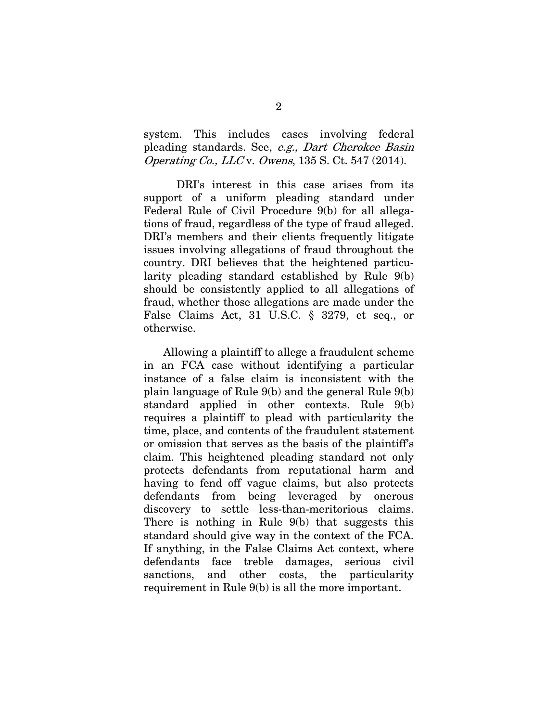system. This includes cases involving federal pleading standards. See, e.g., Dart Cherokee Basin Operating Co., LLC v. Owens,  $135$  S. Ct. 547 (2014).

DRI's interest in this case arises from its support of a uniform pleading standard under Federal Rule of Civil Procedure 9(b) for all allegations of fraud, regardless of the type of fraud alleged. DRI's members and their clients frequently litigate issues involving allegations of fraud throughout the country. DRI believes that the heightened particularity pleading standard established by Rule 9(b) should be consistently applied to all allegations of fraud, whether those allegations are made under the False Claims Act, 31 U.S.C. § 3279, et seq., or otherwise.

Allowing a plaintiff to allege a fraudulent scheme in an FCA case without identifying a particular instance of a false claim is inconsistent with the plain language of Rule 9(b) and the general Rule 9(b) standard applied in other contexts. Rule 9(b) requires a plaintiff to plead with particularity the time, place, and contents of the fraudulent statement or omission that serves as the basis of the plaintiff's claim. This heightened pleading standard not only protects defendants from reputational harm and having to fend off vague claims, but also protects defendants from being leveraged by onerous discovery to settle less-than-meritorious claims. There is nothing in Rule 9(b) that suggests this standard should give way in the context of the FCA. If anything, in the False Claims Act context, where defendants face treble damages, serious civil sanctions, and other costs, the particularity requirement in Rule 9(b) is all the more important.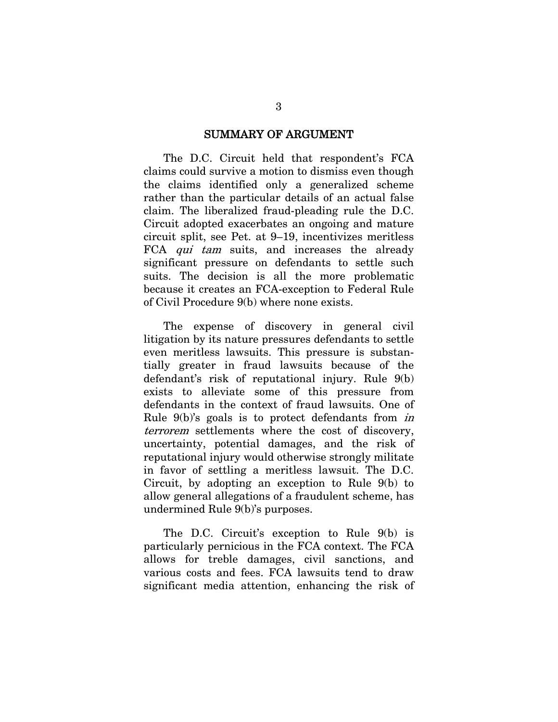#### SUMMARY OF ARGUMENT

The D.C. Circuit held that respondent's FCA claims could survive a motion to dismiss even though the claims identified only a generalized scheme rather than the particular details of an actual false claim. The liberalized fraud-pleading rule the D.C. Circuit adopted exacerbates an ongoing and mature circuit split, see Pet. at 9—19, incentivizes meritless FCA *qui tam* suits, and increases the already significant pressure on defendants to settle such suits. The decision is all the more problematic because it creates an FCA-exception to Federal Rule of Civil Procedure 9(b) where none exists.

The expense of discovery in general civil litigation by its nature pressures defendants to settle even meritless lawsuits. This pressure is substantially greater in fraud lawsuits because of the defendant's risk of reputational injury. Rule 9(b) exists to alleviate some of this pressure from defendants in the context of fraud lawsuits. One of Rule  $9(b)$ 's goals is to protect defendants from *in* terrorem settlements where the cost of discovery, uncertainty, potential damages, and the risk of reputational injury would otherwise strongly militate in favor of settling a meritless lawsuit. The D.C. Circuit, by adopting an exception to Rule 9(b) to allow general allegations of a fraudulent scheme, has undermined Rule 9(b)'s purposes.

The D.C. Circuit's exception to Rule 9(b) is particularly pernicious in the FCA context. The FCA allows for treble damages, civil sanctions, and various costs and fees. FCA lawsuits tend to draw significant media attention, enhancing the risk of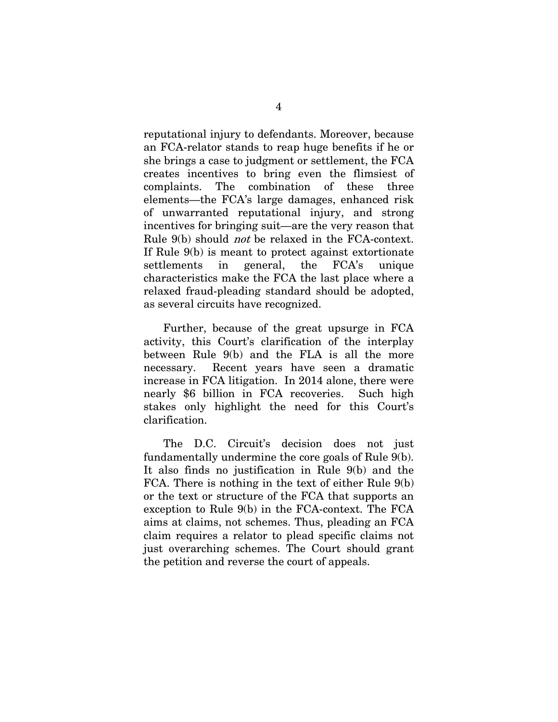reputational injury to defendants. Moreover, because an FCA-relator stands to reap huge benefits if he or she brings a case to judgment or settlement, the FCA creates incentives to bring even the flimsiest of complaints. The combination of these three elements–the FCA's large damages, enhanced risk of unwarranted reputational injury, and strong incentives for bringing suit–are the very reason that Rule 9(b) should not be relaxed in the FCA-context. If Rule 9(b) is meant to protect against extortionate settlements in general, the FCA's unique characteristics make the FCA the last place where a relaxed fraud-pleading standard should be adopted, as several circuits have recognized.

Further, because of the great upsurge in FCA activity, this Court's clarification of the interplay between Rule 9(b) and the FLA is all the more necessary. Recent years have seen a dramatic increase in FCA litigation. In 2014 alone, there were nearly \$6 billion in FCA recoveries. Such high stakes only highlight the need for this Court's clarification.

The D.C. Circuit's decision does not just fundamentally undermine the core goals of Rule 9(b). It also finds no justification in Rule 9(b) and the FCA. There is nothing in the text of either Rule 9(b) or the text or structure of the FCA that supports an exception to Rule 9(b) in the FCA-context. The FCA aims at claims, not schemes. Thus, pleading an FCA claim requires a relator to plead specific claims not just overarching schemes. The Court should grant the petition and reverse the court of appeals.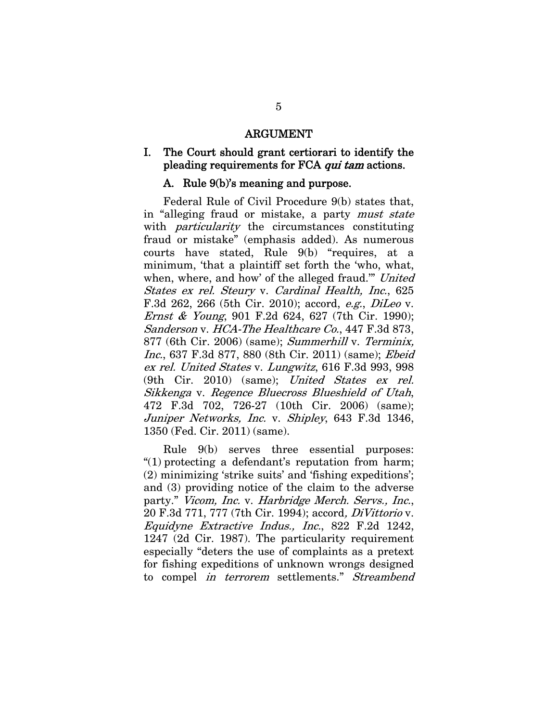#### ARGUMENT

#### I. The Court should grant certiorari to identify the pleading requirements for FCA qui tam actions.

#### A. Rule 9(b)'s meaning and purpose.

Federal Rule of Civil Procedure 9(b) states that, in "alleging fraud or mistake, a party must state with *particularity* the circumstances constituting fraud or mistake" (emphasis added). As numerous courts have stated, Rule 9(b) "requires, at a minimum, 'that a plaintiff set forth the 'who, what, when, where, and how' of the alleged fraud." United States ex rel. Steury v. Cardinal Health, Inc., 625 F.3d 262, 266 (5th Cir. 2010); accord, *e.g.*, *DiLeo* v. Ernst & Young, 901 F.2d 624, 627 (7th Cir. 1990); Sanderson v. HCA-The Healthcare Co., 447 F.3d 873, 877 (6th Cir. 2006) (same); Summerhill v. Terminix, Inc., 637 F.3d 877, 880 (8th Cir. 2011) (same); Ebeid ex rel. United States v. Lungwitz, 616 F.3d 993, 998 (9th Cir. 2010) (same); United States ex rel. Sikkenga v. Regence Bluecross Blueshield of Utah, 472 F.3d 702, 726-27 (10th Cir. 2006) (same); Juniper Networks, Inc. v. Shipley, 643 F.3d 1346, 1350 (Fed. Cir. 2011) (same).

Rule 9(b) serves three essential purposes: "(1) protecting a defendant's reputation from harm; (2) minimizing 'strike suits' and 'fishing expeditions'; and (3) providing notice of the claim to the adverse party." Vicom, Inc. v. Harbridge Merch. Servs., Inc., 20 F.3d 771, 777 (7th Cir. 1994); accord, DiVittorio v. Equidyne Extractive Indus., Inc., 822 F.2d 1242, 1247 (2d Cir. 1987). The particularity requirement especially "deters the use of complaints as a pretext for fishing expeditions of unknown wrongs designed to compel in terrorem settlements." Streambend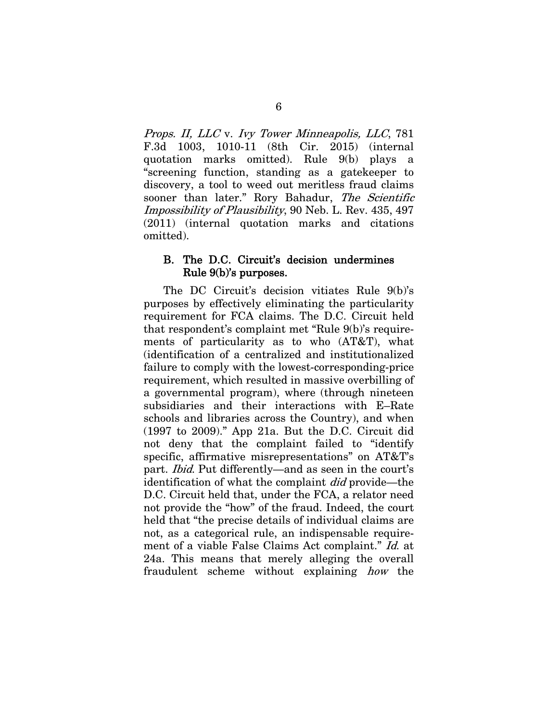Props. II, LLC v. Ivy Tower Minneapolis, LLC, 781 F.3d 1003, 1010-11 (8th Cir. 2015) (internal quotation marks omitted). Rule 9(b) plays a "screening function, standing as a gatekeeper to discovery, a tool to weed out meritless fraud claims sooner than later." Rory Bahadur, The Scientific Impossibility of Plausibility, 90 Neb. L. Rev. 435, 497 (2011) (internal quotation marks and citations omitted).

#### B. The D.C. Circuit's decision undermines Rule 9(b)'s purposes.

The DC Circuit's decision vitiates Rule 9(b)'s purposes by effectively eliminating the particularity requirement for FCA claims. The D.C. Circuit held that respondent's complaint met "Rule 9(b)'s requirements of particularity as to who (AT&T), what (identification of a centralized and institutionalized failure to comply with the lowest-corresponding-price requirement, which resulted in massive overbilling of a governmental program), where (through nineteen subsidiaries and their interactions with E—Rate schools and libraries across the Country), and when (1997 to 2009)." App 21a. But the D.C. Circuit did not deny that the complaint failed to "identify specific, affirmative misrepresentations" on AT&T's part. Ibid. Put differently–and as seen in the court's identification of what the complaint did provide-the D.C. Circuit held that, under the FCA, a relator need not provide the "how" of the fraud. Indeed, the court held that "the precise details of individual claims are not, as a categorical rule, an indispensable requirement of a viable False Claims Act complaint." Id. at 24a. This means that merely alleging the overall fraudulent scheme without explaining how the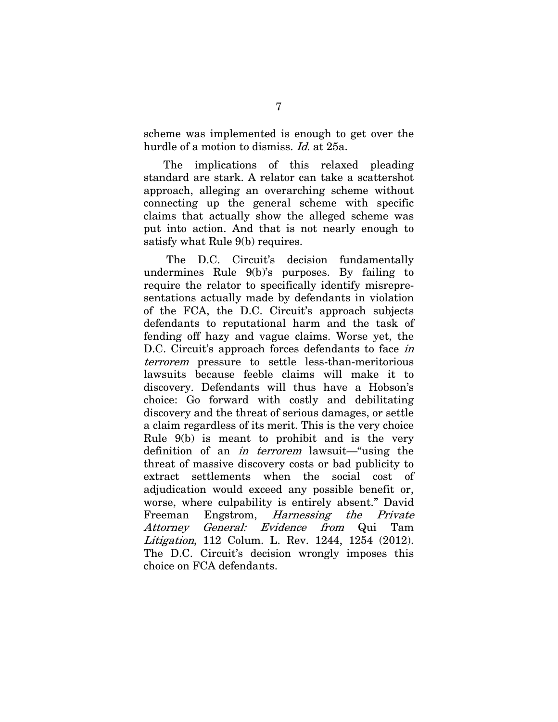scheme was implemented is enough to get over the hurdle of a motion to dismiss. *Id.* at 25a.

The implications of this relaxed pleading standard are stark. A relator can take a scattershot approach, alleging an overarching scheme without connecting up the general scheme with specific claims that actually show the alleged scheme was put into action. And that is not nearly enough to satisfy what Rule 9(b) requires.

 The D.C. Circuit's decision fundamentally undermines Rule 9(b)'s purposes. By failing to require the relator to specifically identify misrepresentations actually made by defendants in violation of the FCA, the D.C. Circuit's approach subjects defendants to reputational harm and the task of fending off hazy and vague claims. Worse yet, the D.C. Circuit's approach forces defendants to face in terrorem pressure to settle less-than-meritorious lawsuits because feeble claims will make it to discovery. Defendants will thus have a Hobson's choice: Go forward with costly and debilitating discovery and the threat of serious damages, or settle a claim regardless of its merit. This is the very choice Rule 9(b) is meant to prohibit and is the very definition of an *in terrorem* lawsuit—"using the threat of massive discovery costs or bad publicity to extract settlements when the social cost of adjudication would exceed any possible benefit or, worse, where culpability is entirely absent." David Freeman Engstrom, Harnessing the Private Attorney General: Evidence from Qui Tam Litigation, 112 Colum. L. Rev. 1244, 1254 (2012). The D.C. Circuit's decision wrongly imposes this choice on FCA defendants.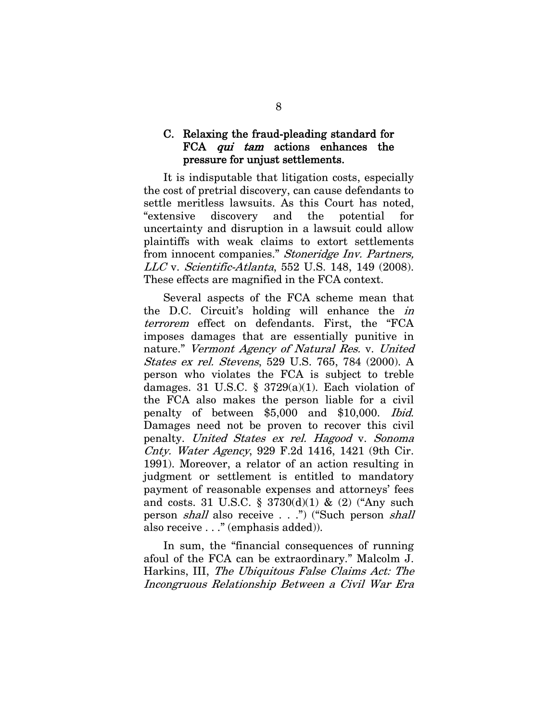#### C. Relaxing the fraud-pleading standard for FCA *qui tam* actions enhances the pressure for unjust settlements.

It is indisputable that litigation costs, especially the cost of pretrial discovery, can cause defendants to settle meritless lawsuits. As this Court has noted, "extensive discovery and the potential for uncertainty and disruption in a lawsuit could allow plaintiffs with weak claims to extort settlements from innocent companies." Stoneridge Inv. Partners, LLC v. Scientific-Atlanta, 552 U.S. 148, 149 (2008). These effects are magnified in the FCA context.

Several aspects of the FCA scheme mean that the D.C. Circuit's holding will enhance the in terrorem effect on defendants. First, the "FCA imposes damages that are essentially punitive in nature." Vermont Agency of Natural Res. v. United States ex rel. Stevens, 529 U.S. 765, 784 (2000). A person who violates the FCA is subject to treble damages. 31 U.S.C. § 3729 $(a)(1)$ . Each violation of the FCA also makes the person liable for a civil penalty of between \$5,000 and \$10,000. Ibid. Damages need not be proven to recover this civil penalty. United States ex rel. Hagood v. Sonoma Cnty. Water Agency, 929 F.2d 1416, 1421 (9th Cir. 1991). Moreover, a relator of an action resulting in judgment or settlement is entitled to mandatory payment of reasonable expenses and attorneys' fees and costs. 31 U.S.C. § 3730(d)(1) & (2) ("Any such person shall also receive . . .") ("Such person shall also receive . . ." (emphasis added)).

In sum, the "financial consequences of running afoul of the FCA can be extraordinary." Malcolm J. Harkins, III, The Ubiquitous False Claims Act: The Incongruous Relationship Between a Civil War Era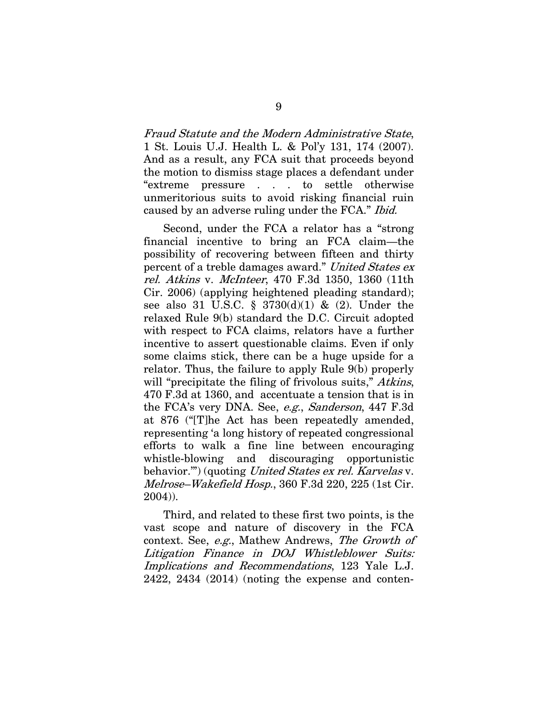Fraud Statute and the Modern Administrative State, 1 St. Louis U.J. Health L. & Pol'y 131, 174 (2007). And as a result, any FCA suit that proceeds beyond the motion to dismiss stage places a defendant under "extreme pressure . . . to settle otherwise unmeritorious suits to avoid risking financial ruin caused by an adverse ruling under the FCA." Ibid.

Second, under the FCA a relator has a "strong financial incentive to bring an FCA claim–the possibility of recovering between fifteen and thirty percent of a treble damages award." United States ex rel. Atkins v. McInteer, 470 F.3d 1350, 1360 (11th Cir. 2006) (applying heightened pleading standard); see also 31 U.S.C. § 3730(d)(1) & (2). Under the relaxed Rule 9(b) standard the D.C. Circuit adopted with respect to FCA claims, relators have a further incentive to assert questionable claims. Even if only some claims stick, there can be a huge upside for a relator. Thus, the failure to apply Rule 9(b) properly will "precipitate the filing of frivolous suits," Atkins, 470 F.3d at 1360, and accentuate a tension that is in the FCA's very DNA. See, e.g., Sanderson, 447 F.3d at 876 ("[T]he Act has been repeatedly amended, representing 'a long history of repeated congressional efforts to walk a fine line between encouraging whistle-blowing and discouraging opportunistic behavior.") (quoting United States ex rel. Karvelas v. Melrose—Wakefield Hosp., 360 F.3d 220, 225 (1st Cir. 2004)).

Third, and related to these first two points, is the vast scope and nature of discovery in the FCA context. See, e.g., Mathew Andrews, The Growth of Litigation Finance in DOJ Whistleblower Suits: Implications and Recommendations, 123 Yale L.J. 2422, 2434 (2014) (noting the expense and conten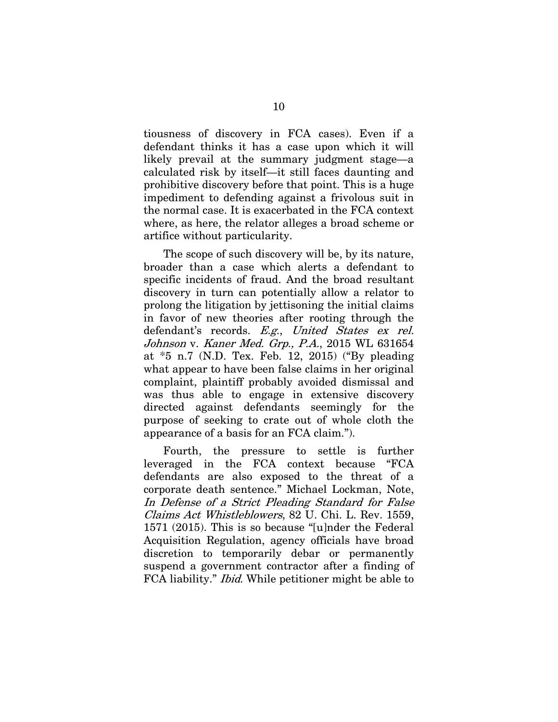tiousness of discovery in FCA cases). Even if a defendant thinks it has a case upon which it will likely prevail at the summary judgment stage–a calculated risk by itself–it still faces daunting and prohibitive discovery before that point. This is a huge impediment to defending against a frivolous suit in the normal case. It is exacerbated in the FCA context where, as here, the relator alleges a broad scheme or artifice without particularity.

The scope of such discovery will be, by its nature, broader than a case which alerts a defendant to specific incidents of fraud. And the broad resultant discovery in turn can potentially allow a relator to prolong the litigation by jettisoning the initial claims in favor of new theories after rooting through the defendant's records. E.g., United States ex rel. Johnson v. Kaner Med. Grp., P.A., 2015 WL 631654 at \*5 n.7 (N.D. Tex. Feb. 12, 2015) ("By pleading what appear to have been false claims in her original complaint, plaintiff probably avoided dismissal and was thus able to engage in extensive discovery directed against defendants seemingly for the purpose of seeking to crate out of whole cloth the appearance of a basis for an FCA claim.").

Fourth, the pressure to settle is further leveraged in the FCA context because "FCA defendants are also exposed to the threat of a corporate death sentence." Michael Lockman, Note, In Defense of a Strict Pleading Standard for False Claims Act Whistleblowers, 82 U. Chi. L. Rev. 1559, 1571 (2015). This is so because "[u]nder the Federal Acquisition Regulation, agency officials have broad discretion to temporarily debar or permanently suspend a government contractor after a finding of FCA liability." Ibid. While petitioner might be able to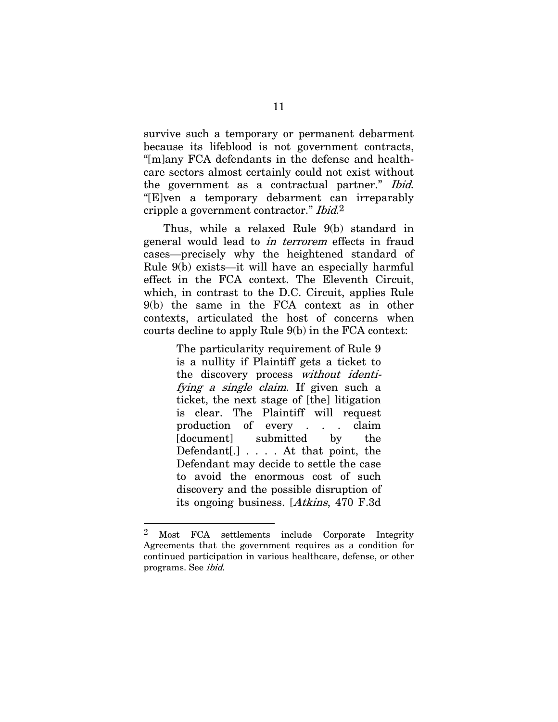survive such a temporary or permanent debarment because its lifeblood is not government contracts, "[m]any FCA defendants in the defense and healthcare sectors almost certainly could not exist without the government as a contractual partner." Ibid. "[E]ven a temporary debarment can irreparably cripple a government contractor." *Ibid.*<sup>2</sup>

Thus, while a relaxed Rule 9(b) standard in general would lead to in terrorem effects in fraud cases–precisely why the heightened standard of Rule 9(b) exists–it will have an especially harmful effect in the FCA context. The Eleventh Circuit, which, in contrast to the D.C. Circuit, applies Rule 9(b) the same in the FCA context as in other contexts, articulated the host of concerns when courts decline to apply Rule 9(b) in the FCA context:

> The particularity requirement of Rule 9 is a nullity if Plaintiff gets a ticket to the discovery process without identifying a single claim. If given such a ticket, the next stage of [the] litigation is clear. The Plaintiff will request production of every . . . claim [document] submitted by the Defendant[.] . . . . At that point, the Defendant may decide to settle the case to avoid the enormous cost of such discovery and the possible disruption of its ongoing business. [Atkins, 470 F.3d

 $\overline{a}$ 

<sup>2</sup> Most FCA settlements include Corporate Integrity Agreements that the government requires as a condition for continued participation in various healthcare, defense, or other programs. See ibid.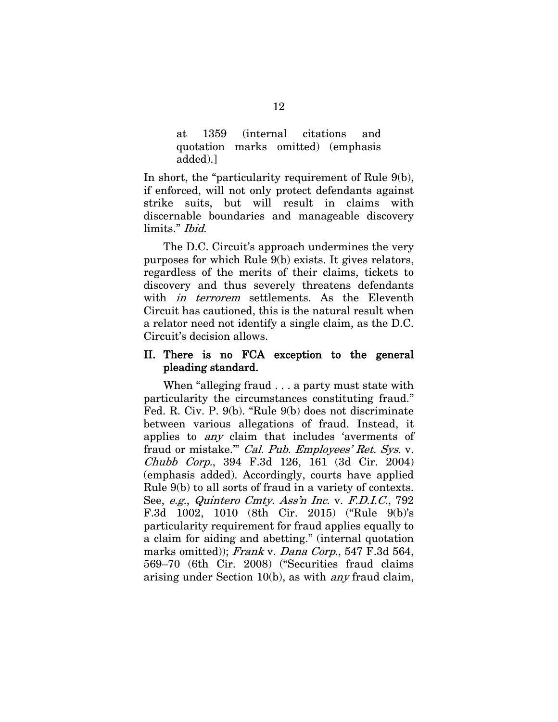at 1359 (internal citations and quotation marks omitted) (emphasis added).]

In short, the "particularity requirement of Rule 9(b), if enforced, will not only protect defendants against strike suits, but will result in claims with discernable boundaries and manageable discovery limits." Ibid.

The D.C. Circuit's approach undermines the very purposes for which Rule 9(b) exists. It gives relators, regardless of the merits of their claims, tickets to discovery and thus severely threatens defendants with *in terrorem* settlements. As the Eleventh Circuit has cautioned, this is the natural result when a relator need not identify a single claim, as the D.C. Circuit's decision allows.

#### II. There is no FCA exception to the general pleading standard.

When "alleging fraud . . . a party must state with particularity the circumstances constituting fraud." Fed. R. Civ. P. 9(b). "Rule 9(b) does not discriminate between various allegations of fraud. Instead, it applies to any claim that includes 'averments of fraud or mistake." Cal. Pub. Employees' Ret. Sys. v. Chubb Corp., 394 F.3d 126, 161 (3d Cir. 2004) (emphasis added). Accordingly, courts have applied Rule 9(b) to all sorts of fraud in a variety of contexts. See, e.g., Quintero Cmty. Ass'n Inc. v. F.D.I.C., 792 F.3d 1002, 1010 (8th Cir. 2015) ("Rule 9(b)'s particularity requirement for fraud applies equally to a claim for aiding and abetting." (internal quotation marks omitted)); Frank v. Dana Corp., 547 F.3d 564, 569—70 (6th Cir. 2008) ("Securities fraud claims arising under Section  $10(b)$ , as with *any* fraud claim,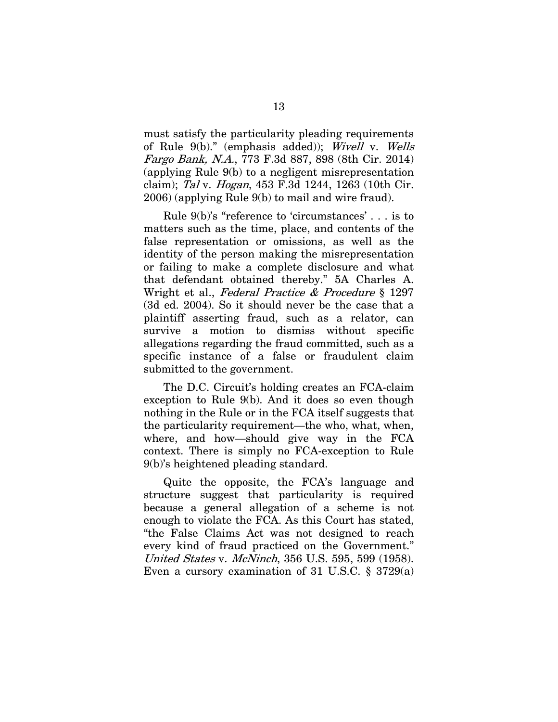must satisfy the particularity pleading requirements of Rule 9(b)." (emphasis added)); Wivell v. Wells Fargo Bank, N.A., 773 F.3d 887, 898 (8th Cir. 2014) (applying Rule 9(b) to a negligent misrepresentation claim); Tal v. Hogan, 453 F.3d 1244, 1263 (10th Cir. 2006) (applying Rule 9(b) to mail and wire fraud).

Rule 9(b)'s "reference to 'circumstances' . . . is to matters such as the time, place, and contents of the false representation or omissions, as well as the identity of the person making the misrepresentation or failing to make a complete disclosure and what that defendant obtained thereby." 5A Charles A. Wright et al., Federal Practice & Procedure § 1297 (3d ed. 2004). So it should never be the case that a plaintiff asserting fraud, such as a relator, can survive a motion to dismiss without specific allegations regarding the fraud committed, such as a specific instance of a false or fraudulent claim submitted to the government.

The D.C. Circuit's holding creates an FCA-claim exception to Rule 9(b). And it does so even though nothing in the Rule or in the FCA itself suggests that the particularity requirement–the who, what, when, where, and how–should give way in the FCA context. There is simply no FCA-exception to Rule 9(b)'s heightened pleading standard.

Quite the opposite, the FCA's language and structure suggest that particularity is required because a general allegation of a scheme is not enough to violate the FCA. As this Court has stated, "the False Claims Act was not designed to reach every kind of fraud practiced on the Government." United States v. McNinch, 356 U.S. 595, 599 (1958). Even a cursory examination of 31 U.S.C.  $\S 3729(a)$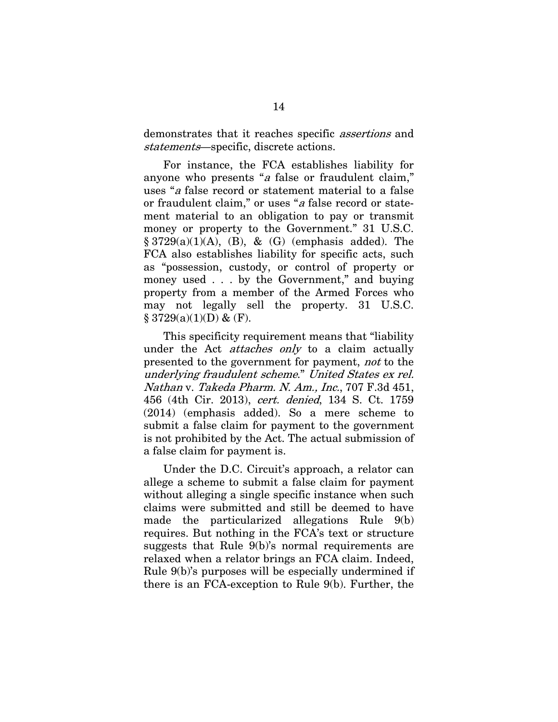demonstrates that it reaches specific assertions and statements–specific, discrete actions.

For instance, the FCA establishes liability for anyone who presents "a false or fraudulent claim," uses "a false record or statement material to a false or fraudulent claim," or uses "a false record or statement material to an obligation to pay or transmit money or property to the Government." 31 U.S.C.  $\S 3729(a)(1)(A)$ , (B), & (G) (emphasis added). The FCA also establishes liability for specific acts, such as "possession, custody, or control of property or money used . . . by the Government," and buying property from a member of the Armed Forces who may not legally sell the property. 31 U.S.C.  $§ 3729(a)(1)(D) \& (F).$ 

This specificity requirement means that "liability under the Act *attaches only* to a claim actually presented to the government for payment, not to the underlying fraudulent scheme." United States ex rel. Nathan v. Takeda Pharm. N. Am., Inc., 707 F.3d 451, 456 (4th Cir. 2013), cert. denied, 134 S. Ct. 1759 (2014) (emphasis added). So a mere scheme to submit a false claim for payment to the government is not prohibited by the Act. The actual submission of a false claim for payment is.

Under the D.C. Circuit's approach, a relator can allege a scheme to submit a false claim for payment without alleging a single specific instance when such claims were submitted and still be deemed to have made the particularized allegations Rule 9(b) requires. But nothing in the FCA's text or structure suggests that Rule 9(b)'s normal requirements are relaxed when a relator brings an FCA claim. Indeed, Rule 9(b)'s purposes will be especially undermined if there is an FCA-exception to Rule 9(b). Further, the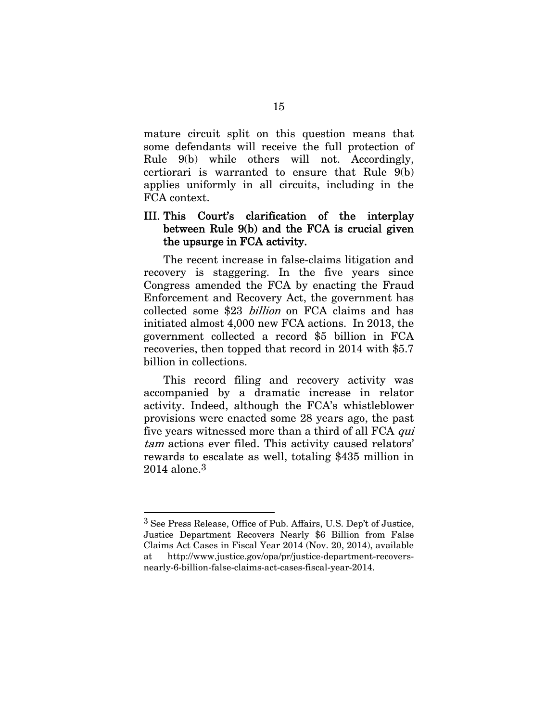mature circuit split on this question means that some defendants will receive the full protection of Rule 9(b) while others will not. Accordingly, certiorari is warranted to ensure that Rule 9(b) applies uniformly in all circuits, including in the FCA context.

### III. This Court's clarification of the interplay between Rule 9(b) and the FCA is crucial given the upsurge in FCA activity.

The recent increase in false-claims litigation and recovery is staggering. In the five years since Congress amended the FCA by enacting the Fraud Enforcement and Recovery Act, the government has collected some \$23 billion on FCA claims and has initiated almost 4,000 new FCA actions. In 2013, the government collected a record \$5 billion in FCA recoveries, then topped that record in 2014 with \$5.7 billion in collections.

This record filing and recovery activity was accompanied by a dramatic increase in relator activity. Indeed, although the FCA's whistleblower provisions were enacted some 28 years ago, the past five years witnessed more than a third of all FCA qui tam actions ever filed. This activity caused relators' rewards to escalate as well, totaling \$435 million in 2014 alone.3

 $\overline{a}$ 

<sup>3</sup> See Press Release, Office of Pub. Affairs, U.S. Dep't of Justice, Justice Department Recovers Nearly \$6 Billion from False Claims Act Cases in Fiscal Year 2014 (Nov. 20, 2014), available at http://www.justice.gov/opa/pr/justice-department-recoversnearly-6-billion-false-claims-act-cases-fiscal-year-2014.